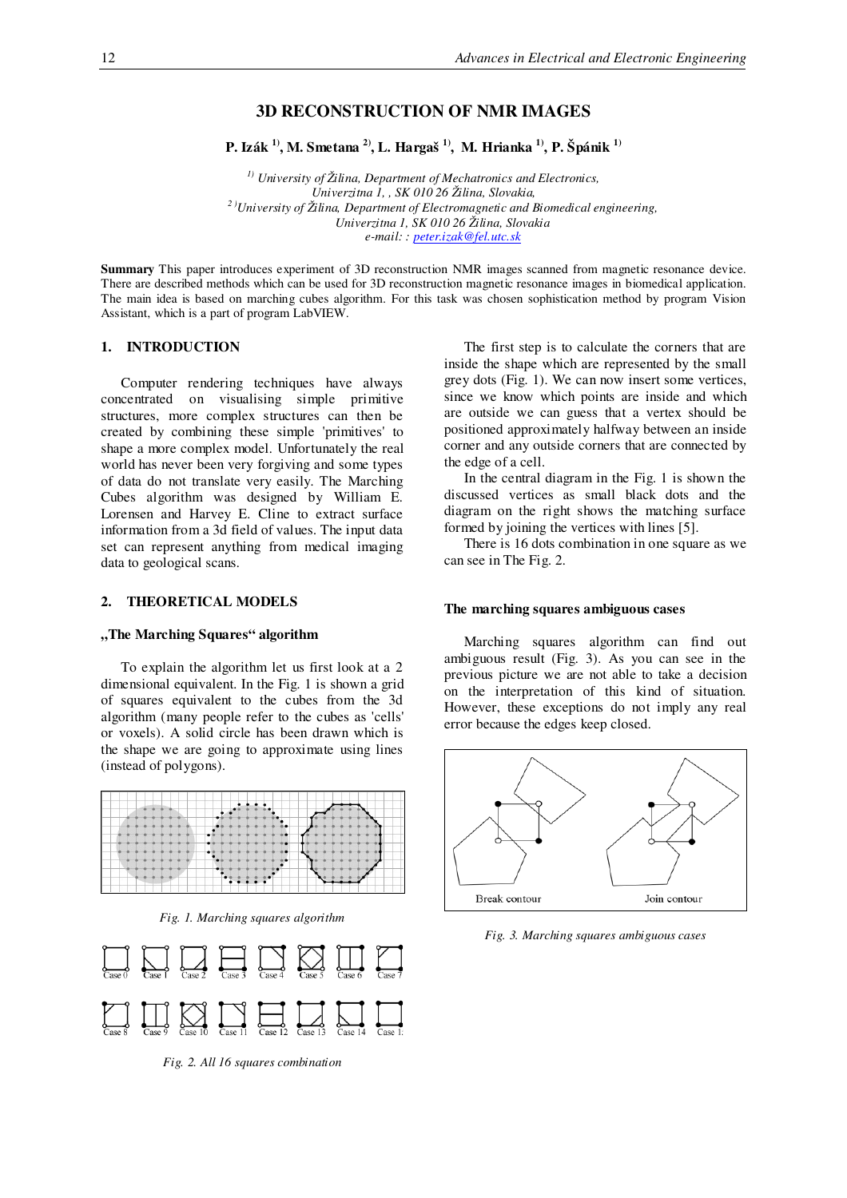# **3D RECONSTRUCTION OF NMR IMAGES**

**P. Izák 1) , M. Smetana 2) , L. Hargaš 1) , M. Hrianka 1) , P. Špánik 1)**

*1) University of Žilina, Department of Mechatronics and Electronics, Univerzitna 1, , SK 010 26 Žilina, Slovakia, <sup>2</sup> )University of Žilina, Department of Electromagnetic and Biomedical engineering, Univerzitna 1, SK 010 26 Žilina, Slovakia e-mail: : peter.izak@fel.utc.sk*

**Summary** This paper introduces experiment of 3D reconstruction NMR images scanned from magnetic resonance device. There are described methods which can be used for 3D reconstruction magnetic resonance images in biomedical application. The main idea is based on marching cubes algorithm. For this task was chosen sophistication method by program Vision Assistant, which is a part of program LabVIEW.

### **1. INTRODUCTION**

Computer rendering techniques have always concentrated on visualising simple primitive structures, more complex structures can then be created by combining these simple 'primitives' to shape a more complex model. Unfortunately the real world has never been very forgiving and some types of data do not translate very easily. The Marching Cubes algorithm was designed by William E. Lorensen and Harvey E. Cline to extract surface information from a 3d field of values. The input data set can represent anything from medical imaging data to geological scans.

### **2. THEORETICAL MODELS**

#### **"The Marching Squares" algorithm**

To explain the algorithm let us first look at a 2 dimensional equivalent. In the Fig. 1 is shown a grid of squares equivalent to the cubes from the 3d algorithm (many people refer to the cubes as 'cells' or voxels). A solid circle has been drawn which is the shape we are going to approximate using lines (instead of polygons).



*Fig. 1. Marching squares algorithm*



*Fig. 2. All 16 squares combination*

The first step is to calculate the corners that are inside the shape which are represented by the small grey dots (Fig. 1). We can now insert some vertices, since we know which points are inside and which are outside we can guess that a vertex should be positioned approximately halfway between an inside corner and any outside corners that are connected by the edge of a cell.

In the central diagram in the Fig. 1 is shown the discussed vertices as small black dots and the diagram on the right shows the matching surface formed by joining the vertices with lines [5].

There is 16 dots combination in one square as we can see in The Fig. 2.

#### **The marching squares ambiguous cases**

Marching squares algorithm can find out ambiguous result (Fig. 3). As you can see in the previous picture we are not able to take a decision on the interpretation of this kind of situation. However, these exceptions do not imply any real error because the edges keep closed.



*Fig. 3. Marching squares ambiguous cases*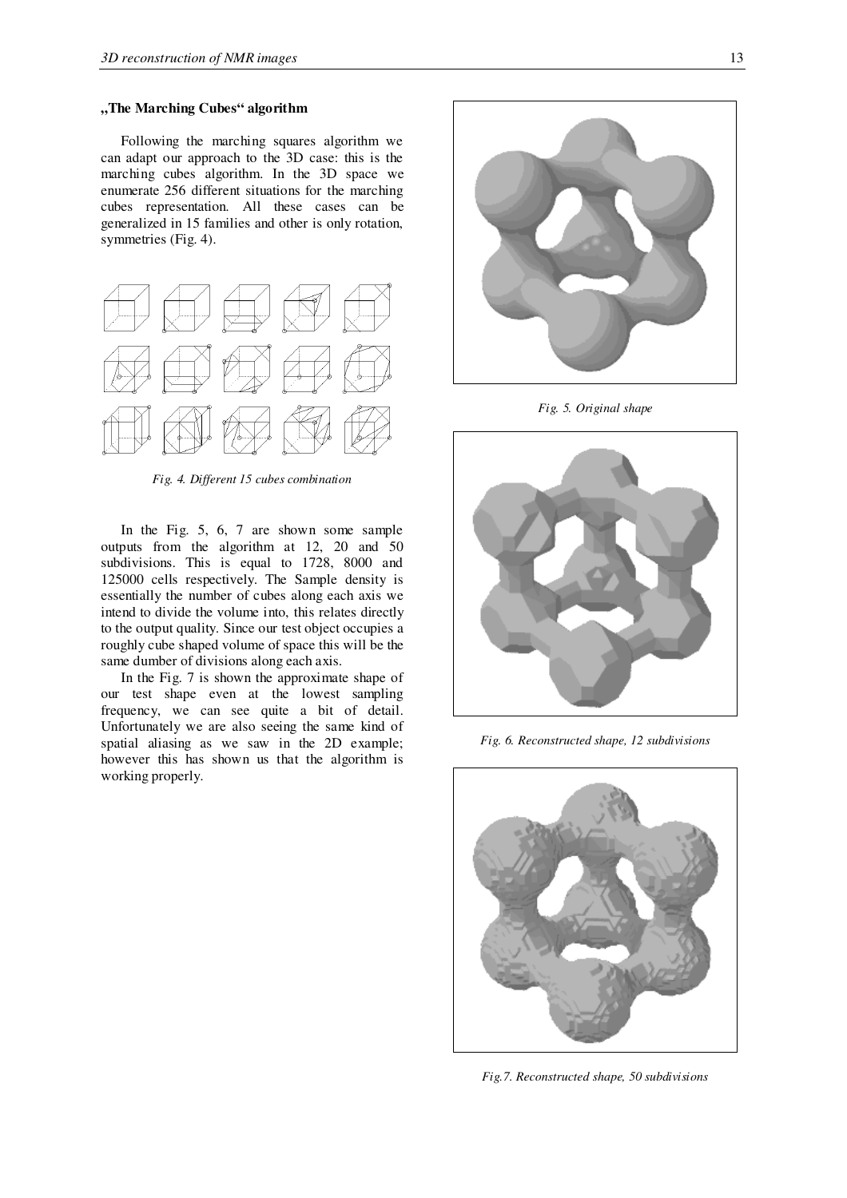## **"The Marching Cubes" algorithm**

Following the marching squares algorithm we can adapt our approach to the 3D case: this is the marching cubes algorithm. In the 3D space we enumerate 256 different situations for the marching cubes representation. All these cases can be generalized in 15 families and other is only rotation, symmetries (Fig. 4).



*Fig. 4. Different 15 cubes combination*

In the Fig. 5, 6, 7 are shown some sample outputs from the algorithm at 12, 20 and 50 subdivisions. This is equal to 1728, 8000 and 125000 cells respectively. The Sample density is essentially the number of cubes along each axis we intend to divide the volume into, this relates directly to the output quality. Since our test object occupies a roughly cube shaped volume of space this will be the same dumber of divisions along each axis.

In the Fig. 7 is shown the approximate shape of our test shape even at the lowest sampling frequency, we can see quite a bit of detail. Unfortunately we are also seeing the same kind of spatial aliasing as we saw in the 2D example; however this has shown us that the algorithm is working properly.



*Fig. 5. Original shape*



*Fig. 6. Reconstructed shape, 12 subdivisions*



*Fig.7. Reconstructed shape, 50 subdivisions*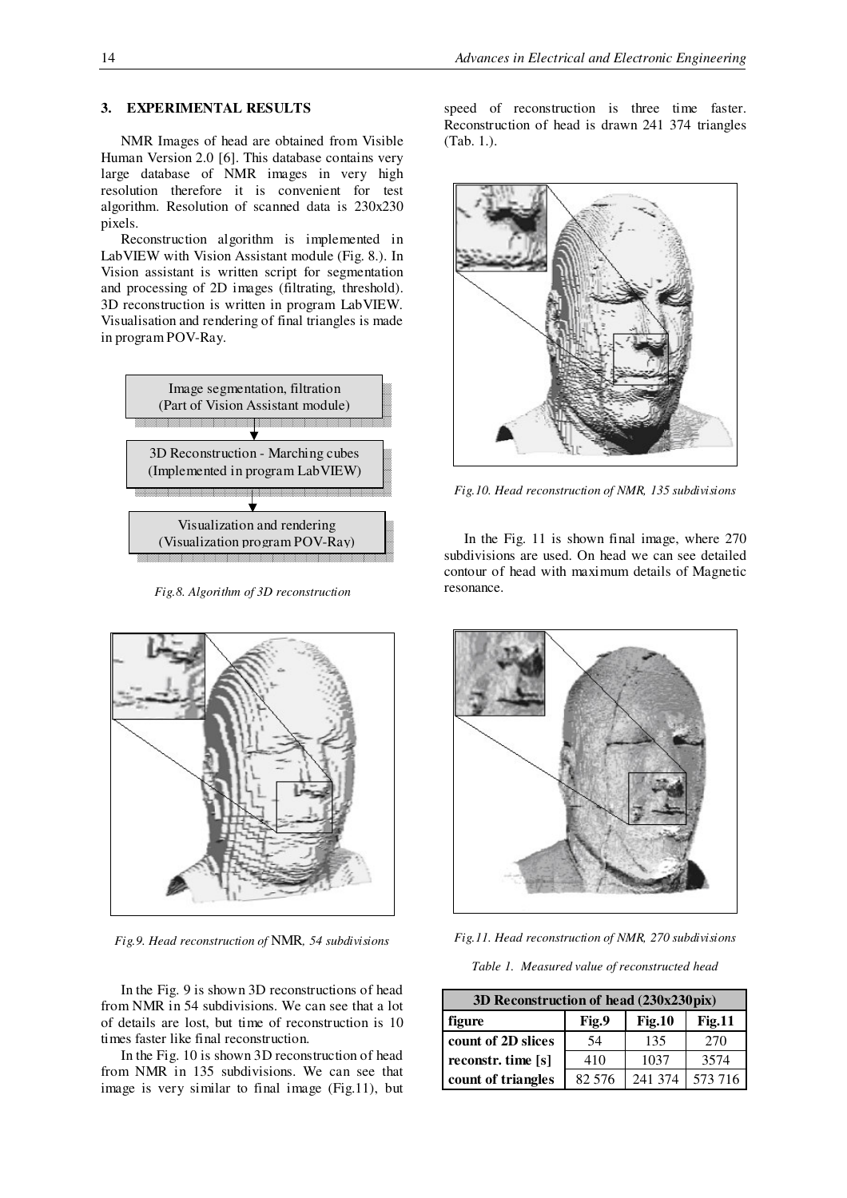### **3. EXPERIMENTAL RESULTS**

NMR Images of head are obtained from Visible Human Version 2.0 [6]. This database contains very large database of NMR images in very high resolution therefore it is convenient for test algorithm. Resolution of scanned data is 230x230 pixels.

Reconstruction algorithm is implemented in LabVIEW with Vision Assistant module (Fig. 8.). In Vision assistant is written script for segmentation and processing of 2D images (filtrating, threshold). 3D reconstruction is written in program LabVIEW. Visualisation and rendering of final triangles is made in program POV-Ray.



*Fig.8. Algorithm of 3D reconstruction*



*Fig.9. Head reconstruction of* NMR*, 54 subdivisions*

In the Fig. 9 is shown 3D reconstructions of head from NMR in 54 subdivisions. We can see that a lot of details are lost, but time of reconstruction is 10 times faster like final reconstruction.

In the Fig. 10 is shown 3D reconstruction of head from NMR in 135 subdivisions. We can see that image is very similar to final image (Fig.11), but

speed of reconstruction is three time faster. Reconstruction of head is drawn 241 374 triangles (Tab. 1.).



*Fig.10. Head reconstruction of NMR, 135 subdivisions*

In the Fig. 11 is shown final image, where 270 subdivisions are used. On head we can see detailed contour of head with maximum details of Magnetic resonance.



*Fig.11. Head reconstruction of NMR, 270 subdivisions*

*Table 1. Measured value of reconstructed head*

| 3D Reconstruction of head (230x230pix) |        |               |               |  |  |  |
|----------------------------------------|--------|---------------|---------------|--|--|--|
| figure                                 | Fig.9  | <b>Fig.10</b> | <b>Fig.11</b> |  |  |  |
| count of 2D slices                     | 54     | 135           | 270           |  |  |  |
| reconstr. time [s]                     | 410    | 1037          | 3574          |  |  |  |
| count of triangles                     | 82 576 | 241 374       | 573 716       |  |  |  |